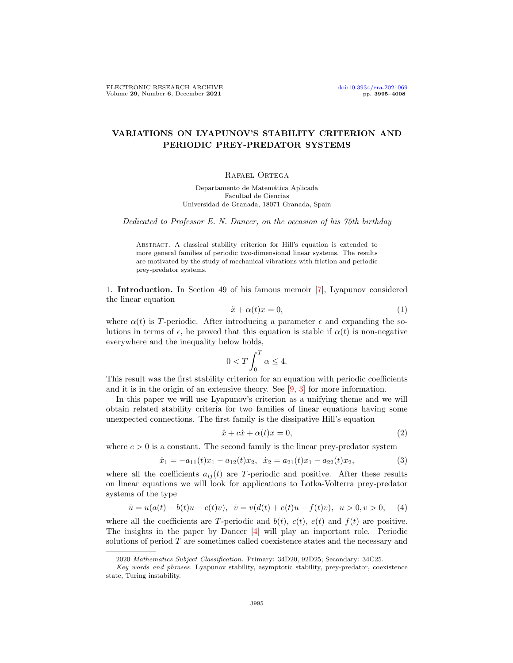# VARIATIONS ON LYAPUNOV'S STABILITY CRITERION AND PERIODIC PREY-PREDATOR SYSTEMS

# RAFAEL ORTEGA

Departamento de Matemática Aplicada Facultad de Ciencias Universidad de Granada, 18071 Granada, Spain

Dedicated to Professor E. N. Dancer, on the occasion of his 75th birthday

Abstract. A classical stability criterion for Hill's equation is extended to more general families of periodic two-dimensional linear systems. The results are motivated by the study of mechanical vibrations with friction and periodic prey-predator systems.

1. Introduction. In Section 49 of his famous memoir [\[7\]](#page-12-0), Lyapunov considered the linear equation

<span id="page-0-1"></span>
$$
\ddot{x} + \alpha(t)x = 0,\tag{1}
$$

where  $\alpha(t)$  is T-periodic. After introducing a parameter  $\epsilon$  and expanding the solutions in terms of  $\epsilon$ , he proved that this equation is stable if  $\alpha(t)$  is non-negative everywhere and the inequality below holds,

$$
0 < T \int_0^T \alpha \le 4.
$$

This result was the first stability criterion for an equation with periodic coefficients and it is in the origin of an extensive theory. See [\[9,](#page-12-1) [3\]](#page-12-2) for more information.

In this paper we will use Lyapunov's criterion as a unifying theme and we will obtain related stability criteria for two families of linear equations having some unexpected connections. The first family is the dissipative Hill's equation

<span id="page-0-2"></span>
$$
\ddot{x} + c\dot{x} + \alpha(t)x = 0,\tag{2}
$$

where  $c > 0$  is a constant. The second family is the linear prey-predator system

<span id="page-0-3"></span>
$$
\dot{x}_1 = -a_{11}(t)x_1 - a_{12}(t)x_2, \quad \dot{x}_2 = a_{21}(t)x_1 - a_{22}(t)x_2,\tag{3}
$$

where all the coefficients  $a_{ij}(t)$  are T-periodic and positive. After these results on linear equations we will look for applications to Lotka-Volterra prey-predator systems of the type

<span id="page-0-0"></span>
$$
\dot{u} = u(a(t) - b(t)u - c(t)v), \quad \dot{v} = v(d(t) + e(t)u - f(t)v), \quad u > 0, v > 0,
$$
 (4)

where all the coefficients are T-periodic and  $b(t)$ ,  $c(t)$ ,  $e(t)$  and  $f(t)$  are positive. The insights in the paper by Dancer [\[4\]](#page-12-3) will play an important role. Periodic solutions of period T are sometimes called coexistence states and the necessary and

<sup>2020</sup> Mathematics Subject Classification. Primary: 34D20, 92D25; Secondary: 34C25.

Key words and phrases. Lyapunov stability, asymptotic stability, prey-predator, coexistence state, Turing instability.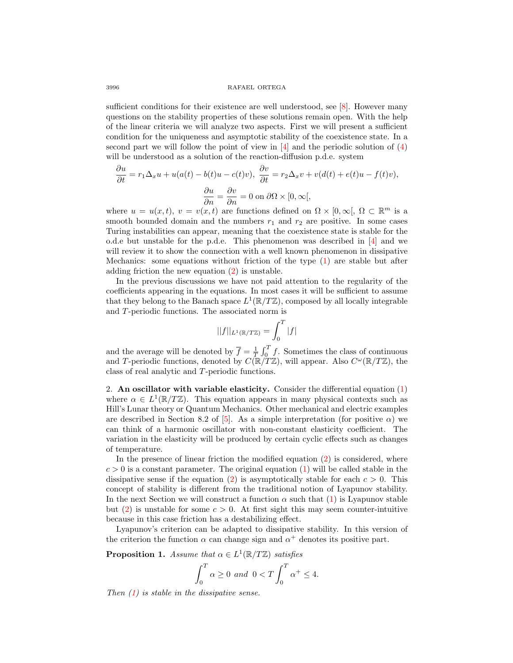#### 3996 RAFAEL ORTEGA

sufficient conditions for their existence are well understood, see [\[8\]](#page-12-4). However many questions on the stability properties of these solutions remain open. With the help of the linear criteria we will analyze two aspects. First we will present a sufficient condition for the uniqueness and asymptotic stability of the coexistence state. In a second part we will follow the point of view in [\[4\]](#page-12-3) and the periodic solution of [\(4\)](#page-0-0) will be understood as a solution of the reaction-diffusion p.d.e. system

$$
\frac{\partial u}{\partial t} = r_1 \Delta_x u + u(a(t) - b(t)u - c(t)v), \quad \frac{\partial v}{\partial t} = r_2 \Delta_x v + v(d(t) + e(t)u - f(t)v),
$$

$$
\frac{\partial u}{\partial n} = \frac{\partial v}{\partial n} = 0 \text{ on } \partial\Omega \times [0, \infty[,
$$

where  $u = u(x, t)$ ,  $v = v(x, t)$  are functions defined on  $\Omega \times [0, \infty)$ ,  $\Omega \subset \mathbb{R}^m$  is a smooth bounded domain and the numbers  $r_1$  and  $r_2$  are positive. In some cases Turing instabilities can appear, meaning that the coexistence state is stable for the o.d.e but unstable for the p.d.e. This phenomenon was described in [\[4\]](#page-12-3) and we will review it to show the connection with a well known phenomenon in dissipative Mechanics: some equations without friction of the type [\(1\)](#page-0-1) are stable but after adding friction the new equation [\(2\)](#page-0-2) is unstable.

In the previous discussions we have not paid attention to the regularity of the coefficients appearing in the equations. In most cases it will be sufficient to assume that they belong to the Banach space  $L^1(\mathbb{R}/T\mathbb{Z})$ , composed by all locally integrable and T-periodic functions. The associated norm is

$$
||f||_{L^1(\mathbb{R}/T\mathbb{Z})} = \int_0^T |f|
$$

and the average will be denoted by  $\overline{f} = \frac{1}{T} \int_0^T f$ . Sometimes the class of continuous and T-periodic functions, denoted by  $C(\mathbb{R}/T\mathbb{Z})$ , will appear. Also  $C^{\omega}(\mathbb{R}/T\mathbb{Z})$ , the class of real analytic and T-periodic functions.

2. An oscillator with variable elasticity. Consider the differential equation  $(1)$ where  $\alpha \in L^1(\mathbb{R}/T\mathbb{Z})$ . This equation appears in many physical contexts such as Hill's Lunar theory or Quantum Mechanics. Other mechanical and electric examples are described in Section 8.2 of [\[5\]](#page-12-5). As a simple interpretation (for positive  $\alpha$ ) we can think of a harmonic oscillator with non-constant elasticity coefficient. The variation in the elasticity will be produced by certain cyclic effects such as changes of temperature.

In the presence of linear friction the modified equation [\(2\)](#page-0-2) is considered, where  $c > 0$  is a constant parameter. The original equation  $(1)$  will be called stable in the dissipative sense if the equation [\(2\)](#page-0-2) is asymptotically stable for each  $c > 0$ . This concept of stability is different from the traditional notion of Lyapunov stability. In the next Section we will construct a function  $\alpha$  such that [\(1\)](#page-0-1) is Lyapunov stable but [\(2\)](#page-0-2) is unstable for some  $c > 0$ . At first sight this may seem counter-intuitive because in this case friction has a destabilizing effect.

Lyapunov's criterion can be adapted to dissipative stability. In this version of the criterion the function  $\alpha$  can change sign and  $\alpha^+$  denotes its positive part.

<span id="page-1-0"></span>**Proposition 1.** Assume that  $\alpha \in L^1(\mathbb{R}/T\mathbb{Z})$  satisfies

$$
\int_0^T \alpha \ge 0 \text{ and } 0 < T \int_0^T \alpha^+ \le 4.
$$

Then  $(1)$  is stable in the dissipative sense.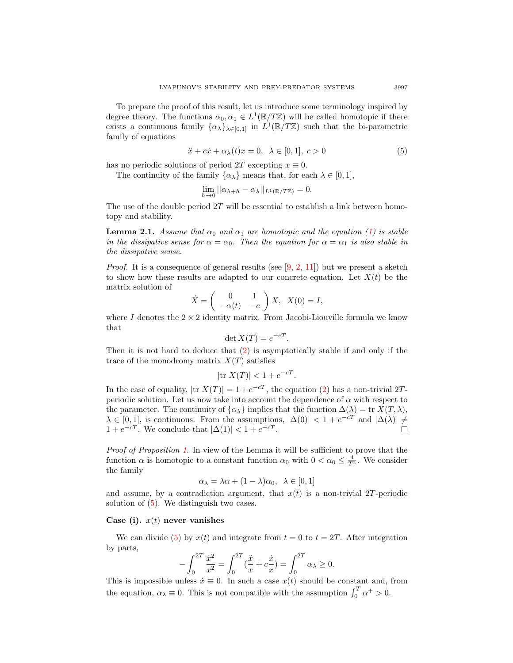To prepare the proof of this result, let us introduce some terminology inspired by degree theory. The functions  $\alpha_0, \alpha_1 \in L^1(\mathbb{R}/T\mathbb{Z})$  will be called homotopic if there exists a continuous family  $\{\alpha_\lambda\}_{\lambda \in [0,1]}$  in  $L^1(\mathbb{R}/T\mathbb{Z})$  such that the bi-parametric family of equations

<span id="page-2-0"></span>
$$
\ddot{x} + c\dot{x} + \alpha_{\lambda}(t)x = 0, \ \lambda \in [0, 1], \ c > 0 \tag{5}
$$

has no periodic solutions of period 2T excepting  $x \equiv 0$ .

The continuity of the family  $\{\alpha_{\lambda}\}\$  means that, for each  $\lambda \in [0,1],$ 

$$
\lim_{h \to 0} ||\alpha_{\lambda+h} - \alpha_{\lambda}||_{L^1(\mathbb{R}/T\mathbb{Z})} = 0.
$$

The use of the double period  $2T$  will be essential to establish a link between homotopy and stability.

<span id="page-2-1"></span>**Lemma 2.1.** Assume that  $\alpha_0$  and  $\alpha_1$  are homotopic and the equation [\(1\)](#page-0-1) is stable in the dissipative sense for  $\alpha = \alpha_0$ . Then the equation for  $\alpha = \alpha_1$  is also stable in the dissipative sense.

*Proof.* It is a consequence of general results (see  $(9, 2, 11)$  $(9, 2, 11)$  $(9, 2, 11)$ ) but we present a sketch to show how these results are adapted to our concrete equation. Let  $X(t)$  be the matrix solution of

$$
\dot{X} = \begin{pmatrix} 0 & 1 \\ -\alpha(t) & -c \end{pmatrix} X, \quad X(0) = I,
$$

where I denotes the  $2 \times 2$  identity matrix. From Jacobi-Liouville formula we know that

$$
\det X(T) = e^{-cT}.
$$

Then it is not hard to deduce that [\(2\)](#page-0-2) is asymptotically stable if and only if the trace of the monodromy matrix  $X(T)$  satisfies

$$
|\text{tr } X(T)| < 1 + e^{-cT}.
$$

In the case of equality,  $|\text{tr } X(T)| = 1 + e^{-cT}$ , the equation [\(2\)](#page-0-2) has a non-trivial 2Tperiodic solution. Let us now take into account the dependence of  $\alpha$  with respect to the parameter. The continuity of  $\{\alpha_{\lambda}\}\$ implies that the function  $\Delta(\lambda) = \text{tr } X(T, \lambda),$  $\lambda \in [0,1],$  is continuous. From the assumptions,  $|\Delta(0)| < 1 + e^{-cT}$  and  $|\Delta(\lambda)| \neq$  $1 + e^{-cT}$ . We conclude that  $|\Delta(1)| < 1 + e^{-cT}$ .

Proof of Proposition [1](#page-1-0). In view of the Lemma it will be sufficient to prove that the function  $\alpha$  is homotopic to a constant function  $\alpha_0$  with  $0 < \alpha_0 \leq \frac{4}{T^2}$ . We consider the family

$$
\alpha_{\lambda} = \lambda \alpha + (1 - \lambda)\alpha_0, \ \lambda \in [0, 1]
$$

and assume, by a contradiction argument, that  $x(t)$  is a non-trivial 2T-periodic solution of [\(5\)](#page-2-0). We distinguish two cases.

## Case (i).  $x(t)$  never vanishes

We can divide [\(5\)](#page-2-0) by  $x(t)$  and integrate from  $t = 0$  to  $t = 2T$ . After integration by parts,

$$
-\int_0^{2T} \frac{\dot{x}^2}{x^2} = \int_0^{2T} (\frac{\ddot{x}}{x} + c\frac{\dot{x}}{x}) = \int_0^{2T} \alpha_\lambda \ge 0.
$$

This is impossible unless  $\dot{x} \equiv 0$ . In such a case  $x(t)$  should be constant and, from the equation,  $\alpha_{\lambda} \equiv 0$ . This is not compatible with the assumption  $\int_0^T \alpha^+ > 0$ .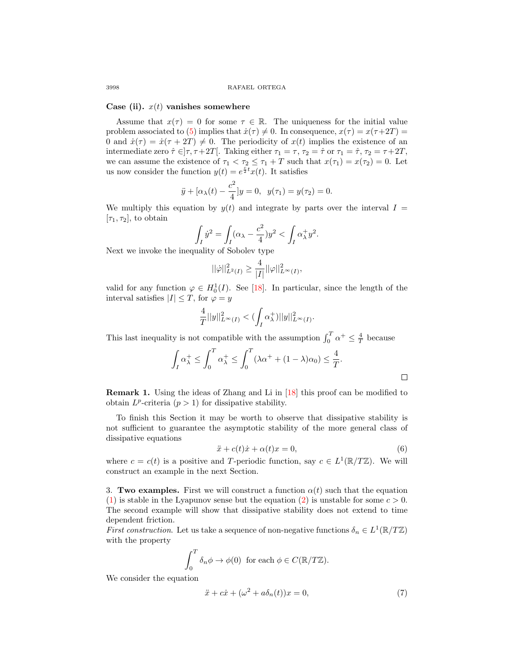### Case (ii).  $x(t)$  vanishes somewhere

Assume that  $x(\tau) = 0$  for some  $\tau \in \mathbb{R}$ . The uniqueness for the initial value problem associated to [\(5\)](#page-2-0) implies that  $\dot{x}(\tau) \neq 0$ . In consequence,  $x(\tau) = x(\tau+2T) =$ 0 and  $\dot{x}(\tau) = \dot{x}(\tau + 2T) \neq 0$ . The periodicity of  $x(t)$  implies the existence of an intermediate zero  $\hat{\tau} \in ]\tau, \tau + 2T[$ . Taking either  $\tau_1 = \tau, \tau_2 = \hat{\tau}$  or  $\tau_1 = \hat{\tau}, \tau_2 = \tau + 2T$ , we can assume the existence of  $\tau_1 < \tau_2 \leq \tau_1 + T$  such that  $x(\tau_1) = x(\tau_2) = 0$ . Let us now consider the function  $y(t) = e^{\frac{c}{2}t}x(t)$ . It satisfies

$$
\ddot{y} + [\alpha_{\lambda}(t) - \frac{c^2}{4}]y = 0, \ \ y(\tau_1) = y(\tau_2) = 0.
$$

We multiply this equation by  $y(t)$  and integrate by parts over the interval  $I =$  $[\tau_1, \tau_2]$ , to obtain

$$
\int_I \dot{y}^2 = \int_I (\alpha_\lambda - \frac{c^2}{4}) y^2 < \int_I \alpha_\lambda^+ y^2.
$$

Next we invoke the inequality of Sobolev type

$$
||\dot{\varphi}||_{L^2(I)}^2 \ge \frac{4}{|I|}||\varphi||_{L^{\infty}(I)}^2,
$$

valid for any function  $\varphi \in H_0^1(I)$ . See [\[18\]](#page-13-1). In particular, since the length of the interval satisfies  $|I| \leq T$ , for  $\varphi = y$ 

$$
\frac{4}{T}||y||_{L^{\infty}(I)}^2 < (\int_I \alpha_{\lambda}^+)||y||_{L^{\infty}(I)}^2.
$$

This last inequality is not compatible with the assumption  $\int_0^T \alpha^+ \leq \frac{4}{T}$  because

$$
\int_I \alpha_\lambda^+ \le \int_0^T \alpha_\lambda^+ \le \int_0^T (\lambda \alpha^+ + (1 - \lambda) \alpha_0) \le \frac{4}{T}.
$$

Remark 1. Using the ideas of Zhang and Li in [\[18\]](#page-13-1) this proof can be modified to obtain  $L^p$ -criteria  $(p > 1)$  for dissipative stability.

To finish this Section it may be worth to observe that dissipative stability is not sufficient to guarantee the asymptotic stability of the more general class of dissipative equations

<span id="page-3-1"></span>
$$
\ddot{x} + c(t)\dot{x} + \alpha(t)x = 0,\tag{6}
$$

where  $c = c(t)$  is a positive and T-periodic function, say  $c \in L^1(\mathbb{R}/T\mathbb{Z})$ . We will construct an example in the next Section.

<span id="page-3-2"></span>3. Two examples. First we will construct a function  $\alpha(t)$  such that the equation [\(1\)](#page-0-1) is stable in the Lyapunov sense but the equation [\(2\)](#page-0-2) is unstable for some  $c > 0$ . The second example will show that dissipative stability does not extend to time dependent friction.

First construction. Let us take a sequence of non-negative functions  $\delta_n \in L^1(\mathbb{R}/T\mathbb{Z})$ with the property

$$
\int_0^T \delta_n \phi \to \phi(0) \text{ for each } \phi \in C(\mathbb{R}/T\mathbb{Z}).
$$

We consider the equation

<span id="page-3-0"></span>
$$
\ddot{x} + c\dot{x} + (\omega^2 + a\delta_n(t))x = 0,\t\t(7)
$$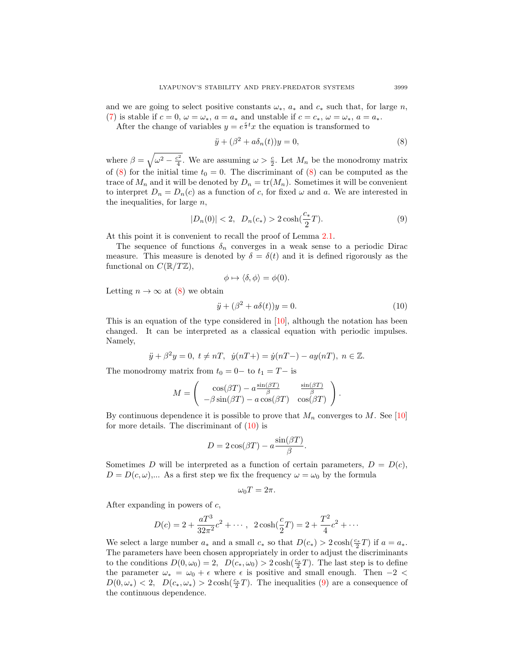and we are going to select positive constants  $\omega_*$ ,  $a_*$  and  $c_*$  such that, for large n, [\(7\)](#page-3-0) is stable if  $c = 0$ ,  $\omega = \omega_*$ ,  $a = a_*$  and unstable if  $c = c_*$ ,  $\omega = \omega_*$ ,  $a = a_*$ .

After the change of variables  $y = e^{\frac{c}{2}t}x$  the equation is transformed to

<span id="page-4-0"></span>
$$
\ddot{y} + (\beta^2 + a\delta_n(t))y = 0,\t\t(8)
$$

where  $\beta = \sqrt{\omega^2 - \frac{c^2}{4}}$ . We are assuming  $\omega > \frac{c}{2}$ . Let  $M_n$  be the monodromy matrix of [\(8\)](#page-4-0) for the initial time  $t_0 = 0$ . The discriminant of (8) can be computed as the trace of  $M_n$  and it will be denoted by  $D_n = \text{tr}(M_n)$ . Sometimes it will be convenient to interpret  $D_n = D_n(c)$  as a function of c, for fixed  $\omega$  and a. We are interested in the inequalities, for large  $n$ ,

<span id="page-4-2"></span>
$$
|D_n(0)| < 2, \ D_n(c_*) > 2\cosh(\frac{c_*}{2}T). \tag{9}
$$

At this point it is convenient to recall the proof of Lemma [2.1.](#page-2-1)

The sequence of functions  $\delta_n$  converges in a weak sense to a periodic Dirac measure. This measure is denoted by  $\delta = \delta(t)$  and it is defined rigorously as the functional on  $C(\mathbb{R}/T\mathbb{Z})$ ,

$$
\phi \mapsto \langle \delta, \phi \rangle = \phi(0).
$$

Letting  $n \to \infty$  at [\(8\)](#page-4-0) we obtain

<span id="page-4-1"></span>
$$
\ddot{y} + (\beta^2 + a\delta(t))y = 0.
$$
\n(10)

This is an equation of the type considered in  $[10]$ , although the notation has been changed. It can be interpreted as a classical equation with periodic impulses. Namely,

$$
\ddot{y} + \beta^2 y = 0, t \neq nT, \dot{y}(nT+) = \dot{y}(nT-) - ay(nT), n \in \mathbb{Z}.
$$

The monodromy matrix from  $t_0 = 0-$  to  $t_1 = T-$  is

$$
M = \begin{pmatrix} \cos(\beta T) - a \frac{\sin(\beta T)}{\beta} & \frac{\sin(\beta T)}{\beta} \\ -\beta \sin(\beta T) - a \cos(\beta T) & \cos(\beta T) \end{pmatrix}.
$$

By continuous dependence it is possible to prove that  $M_n$  converges to M. See [\[10\]](#page-13-2) for more details. The discriminant of  $(10)$  is

$$
D = 2\cos(\beta T) - a\frac{\sin(\beta T)}{\beta}.
$$

Sometimes D will be interpreted as a function of certain parameters,  $D = D(c)$ ,  $D = D(c, \omega)$ ,... As a first step we fix the frequency  $\omega = \omega_0$  by the formula

$$
\omega_0 T = 2\pi.
$$

After expanding in powers of c,

$$
D(c) = 2 + \frac{aT^3}{32\pi^2}c^2 + \cdots, \ \ 2\cosh(\frac{c}{2}T) = 2 + \frac{T^2}{4}c^2 + \cdots
$$

We select a large number  $a_*$  and a small  $c_*$  so that  $D(c_*) > 2 \cosh(\frac{c_*}{2}T)$  if  $a = a_*$ . The parameters have been chosen appropriately in order to adjust the discriminants to the conditions  $D(0, \omega_0) = 2$ ,  $D(c_*, \omega_0) > 2 \cosh(\frac{c_*}{2}T)$ . The last step is to define the parameter  $\omega_* = \omega_0 + \epsilon$  where  $\epsilon$  is positive and small enough. Then  $-2 <$  $D(0,\omega_*) < 2$ ,  $D(c_*,\omega_*) > 2 \cosh(\frac{c_*}{2}T)$ . The inequalities [\(9\)](#page-4-2) are a consequence of the continuous dependence.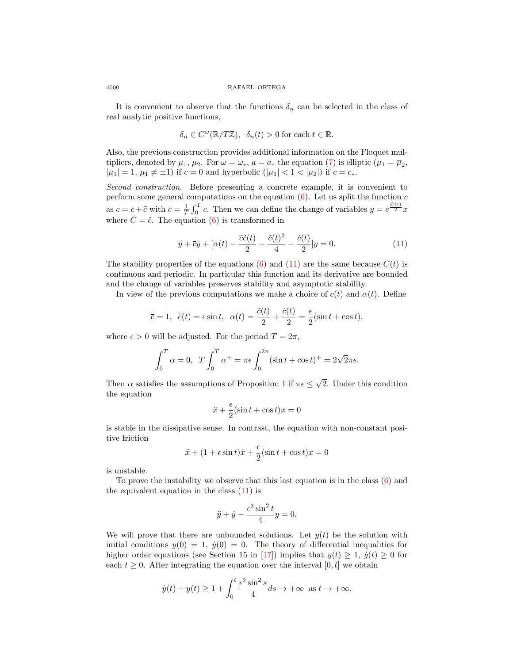It is convenient to observe that the functions  $\delta_n$  can be selected in the class of real analytic positive functions,

$$
\delta_n \in C^{\omega}(\mathbb{R}/T\mathbb{Z}), \ \ \delta_n(t) > 0 \text{ for each } t \in \mathbb{R}.
$$

Also, the previous construction provides additional information on the Floquet multipliers, denoted by  $\mu_1, \mu_2$ . For  $\omega = \omega_*$ ,  $a = a_*$  the equation [\(7\)](#page-3-0) is elliptic  $(\mu_1 = \overline{\mu}_2,$  $|\mu_1| = 1, \mu_1 \neq \pm 1$ ) if  $c = 0$  and hyperbolic  $(|\mu_1| < 1 < |\mu_2|)$  if  $c = c_*$ .

Second construction. Before presenting a concrete example, it is convenient to perform some general computations on the equation  $(6)$ . Let us split the function c as  $c = \overline{c} + \tilde{c}$  with  $\overline{c} = \frac{1}{T} \int_0^T c$ . Then we can define the change of variables  $y = e^{\frac{C(t)}{2}} x$ where  $\dot{C} = \tilde{c}$ . The equation [\(6\)](#page-3-1) is transformed in

<span id="page-5-0"></span>
$$
\ddot{y} + \overline{c}\dot{y} + [\alpha(t) - \frac{\overline{c}\tilde{c}(t)}{2} - \frac{\tilde{c}(t)^2}{4} - \frac{\dot{c}(t)}{2}]y = 0.
$$
 (11)

The stability properties of the equations [\(6\)](#page-3-1) and [\(11\)](#page-5-0) are the same because  $C(t)$  is continuous and periodic. In particular this function and its derivative are bounded and the change of variables preserves stability and asymptotic stability.

In view of the previous computations we make a choice of  $c(t)$  and  $\alpha(t)$ . Define

$$
\overline{c} = 1, \ \ \tilde{c}(t) = \epsilon \sin t, \ \ \alpha(t) = \frac{\tilde{c}(t)}{2} + \frac{\dot{c}(t)}{2} = \frac{\epsilon}{2}(\sin t + \cos t),
$$

where  $\epsilon > 0$  will be adjusted. For the period  $T = 2\pi$ ,

$$
\int_0^T \alpha = 0, \ T \int_0^T \alpha^+ = \pi \epsilon \int_0^{2\pi} (\sin t + \cos t)^+ = 2\sqrt{2\pi} \epsilon.
$$

Then  $\alpha$  satisfies the assumptions of Proposition [1](#page-1-0) if  $\pi \epsilon \leq$ √ 2. Under this condition the equation

$$
\ddot{x} + \frac{\epsilon}{2}(\sin t + \cos t)x = 0
$$

is stable in the dissipative sense. In contrast, the equation with non-constant positive friction

$$
\ddot{x} + (1 + \epsilon \sin t)\dot{x} + \frac{\epsilon}{2}(\sin t + \cos t)x = 0
$$

is unstable.

To prove the instability we observe that this last equation is in the class [\(6\)](#page-3-1) and the equivalent equation in the class [\(11\)](#page-5-0) is

$$
\ddot{y} + \dot{y} - \frac{\epsilon^2 \sin^2 t}{4} y = 0.
$$

We will prove that there are unbounded solutions. Let  $y(t)$  be the solution with initial conditions  $y(0) = 1$ ,  $\dot{y}(0) = 0$ . The theory of differential inequalities for higher order equations (see Section 15 in [\[17\]](#page-13-3)) implies that  $y(t) \geq 1$ ,  $\dot{y}(t) \geq 0$  for each  $t \geq 0$ . After integrating the equation over the interval  $[0, t]$  we obtain

$$
\dot{y}(t) + y(t) \ge 1 + \int_0^t \frac{\epsilon^2 \sin^2 s}{4} ds \to +\infty \text{ as } t \to +\infty.
$$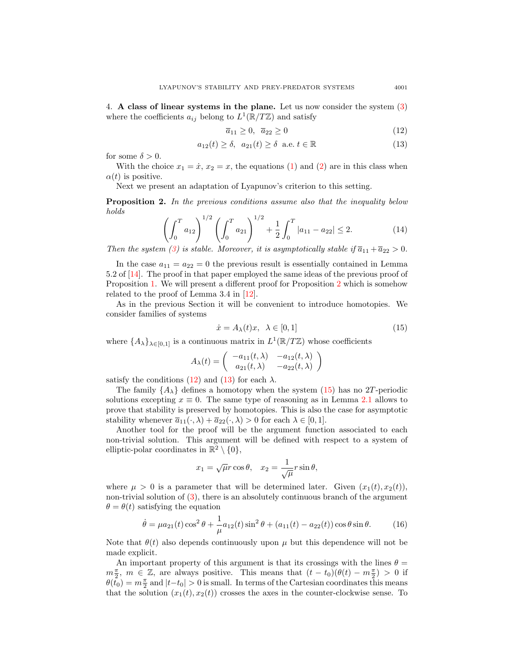<span id="page-6-6"></span>4. A class of linear systems in the plane. Let us now consider the system [\(3\)](#page-0-3) where the coefficients  $a_{ij}$  belong to  $L^1(\mathbb{R}/T\mathbb{Z})$  and satisfy

<span id="page-6-1"></span>
$$
\overline{a}_{11} \ge 0, \quad \overline{a}_{22} \ge 0 \tag{12}
$$

<span id="page-6-2"></span>
$$
a_{12}(t) \ge \delta, \ \ a_{21}(t) \ge \delta \ \ \text{a.e.} \ t \in \mathbb{R}
$$
 (13)

for some  $\delta > 0$ .

With the choice  $x_1 = \dot{x}$ ,  $x_2 = x$ , the equations [\(1\)](#page-0-1) and [\(2\)](#page-0-2) are in this class when  $\alpha(t)$  is positive.

Next we present an adaptation of Lyapunov's criterion to this setting.

<span id="page-6-0"></span>Proposition 2. In the previous conditions assume also that the inequality below holds

<span id="page-6-4"></span>
$$
\left(\int_0^T a_{12}\right)^{1/2} \left(\int_0^T a_{21}\right)^{1/2} + \frac{1}{2} \int_0^T |a_{11} - a_{22}| \le 2. \tag{14}
$$

Then the system [\(3\)](#page-0-3) is stable. Moreover, it is asymptotically stable if  $\bar{a}_{11} + \bar{a}_{22} > 0$ .

In the case  $a_{11} = a_{22} = 0$  the previous result is essentially contained in Lemma 5.2 of [\[14\]](#page-13-4). The proof in that paper employed the same ideas of the previous proof of Proposition [1.](#page-1-0) We will present a different proof for Proposition [2](#page-6-0) which is somehow related to the proof of Lemma 3.4 in [\[12\]](#page-13-5).

As in the previous Section it will be convenient to introduce homotopies. We consider families of systems

<span id="page-6-3"></span>
$$
\dot{x} = A_{\lambda}(t)x, \ \lambda \in [0, 1] \tag{15}
$$

where  $\{A_{\lambda}\}_{{\lambda}\in[0,1]}$  is a continuous matrix in  $L^1(\mathbb{R}/T\mathbb{Z})$  whose coefficients

$$
A_{\lambda}(t) = \begin{pmatrix} -a_{11}(t,\lambda) & -a_{12}(t,\lambda) \\ a_{21}(t,\lambda) & -a_{22}(t,\lambda) \end{pmatrix}
$$

satisfy the conditions [\(12\)](#page-6-1) and [\(13\)](#page-6-2) for each  $\lambda$ .

The family  $\{A_{\lambda}\}\$  defines a homotopy when the system [\(15\)](#page-6-3) has no 2T-periodic solutions excepting  $x \equiv 0$ . The same type of reasoning as in Lemma [2.1](#page-2-1) allows to prove that stability is preserved by homotopies. This is also the case for asymptotic stability whenever  $\overline{a}_{11}(\cdot, \lambda) + \overline{a}_{22}(\cdot, \lambda) > 0$  for each  $\lambda \in [0, 1]$ .

Another tool for the proof will be the argument function associated to each non-trivial solution. This argument will be defined with respect to a system of elliptic-polar coordinates in  $\mathbb{R}^2 \setminus \{0\},\$ 

$$
x_1 = \sqrt{\mu}r\cos\theta
$$
,  $x_2 = \frac{1}{\sqrt{\mu}}r\sin\theta$ ,

where  $\mu > 0$  is a parameter that will be determined later. Given  $(x_1(t), x_2(t))$ , non-trivial solution of  $(3)$ , there is an absolutely continuous branch of the argument  $\theta = \theta(t)$  satisfying the equation

<span id="page-6-5"></span>
$$
\dot{\theta} = \mu a_{21}(t) \cos^2 \theta + \frac{1}{\mu} a_{12}(t) \sin^2 \theta + (a_{11}(t) - a_{22}(t)) \cos \theta \sin \theta.
$$
 (16)

Note that  $\theta(t)$  also depends continuously upon  $\mu$  but this dependence will not be made explicit.

An important property of this argument is that its crossings with the lines  $\theta =$  $m\frac{\pi}{2}$ ,  $m \in \mathbb{Z}$ , are always positive. This means that  $(t-t_0)(\theta(t)-m\frac{\pi}{2}) > 0$  if  $\theta(\tilde{t}_0) = m\frac{\pi}{2}$  and  $|t-t_0| > 0$  is small. In terms of the Cartesian coordinates this means that the solution  $(x_1(t), x_2(t))$  crosses the axes in the counter-clockwise sense. To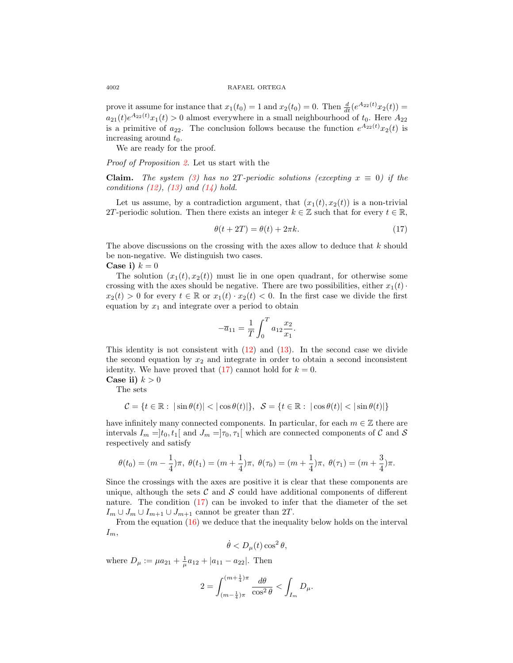### 4002 RAFAEL ORTEGA

prove it assume for instance that  $x_1(t_0) = 1$  and  $x_2(t_0) = 0$ . Then  $\frac{d}{dt}(e^{A_{22}(t)}x_2(t)) = 0$  $a_{21}(t)e^{A_{22}(t)}x_1(t) > 0$  almost everywhere in a small neighbourhood of  $t_0$ . Here  $A_{22}$ is a primitive of  $a_{22}$ . The conclusion follows because the function  $e^{A_{22}(t)}x_2(t)$  is increasing around  $t_0$ .

We are ready for the proof.

Proof of Proposition [2.](#page-6-0) Let us start with the

Claim. The system [\(3\)](#page-0-3) has no 2T-periodic solutions (excepting  $x \equiv 0$ ) if the conditions  $(12)$ ,  $(13)$  and  $(14)$  hold.

Let us assume, by a contradiction argument, that  $(x_1(t), x_2(t))$  is a non-trivial 2T-periodic solution. Then there exists an integer  $k \in \mathbb{Z}$  such that for every  $t \in \mathbb{R}$ ,

<span id="page-7-0"></span>
$$
\theta(t + 2T) = \theta(t) + 2\pi k. \tag{17}
$$

The above discussions on the crossing with the axes allow to deduce that k should be non-negative. We distinguish two cases.

Case i)  $k = 0$ 

The solution  $(x_1(t), x_2(t))$  must lie in one open quadrant, for otherwise some crossing with the axes should be negative. There are two possibilities, either  $x_1(t)$ .  $x_2(t) > 0$  for every  $t \in \mathbb{R}$  or  $x_1(t) \cdot x_2(t) < 0$ . In the first case we divide the first equation by  $x_1$  and integrate over a period to obtain

$$
-\overline{a}_{11} = \frac{1}{T} \int_0^T a_{12} \frac{x_2}{x_1}.
$$

This identity is not consistent with  $(12)$  and  $(13)$ . In the second case we divide the second equation by  $x_2$  and integrate in order to obtain a second inconsistent identity. We have proved that  $(17)$  cannot hold for  $k = 0$ . Case ii)  $k > 0$ 

The sets

$$
\mathcal{C} = \{ t \in \mathbb{R} : |\sin \theta(t)| < |\cos \theta(t)| \}, \quad \mathcal{S} = \{ t \in \mathbb{R} : |\cos \theta(t)| < |\sin \theta(t)| \}
$$

have infinitely many connected components. In particular, for each  $m \in \mathbb{Z}$  there are intervals  $I_m =]t_0, t_1[$  and  $J_m =]\tau_0, \tau_1[$  which are connected components of C and S respectively and satisfy

$$
\theta(t_0)=(m-\frac{1}{4})\pi, \; \theta(t_1)=(m+\frac{1}{4})\pi, \; \theta(\tau_0)=(m+\frac{1}{4})\pi, \; \theta(\tau_1)=(m+\frac{3}{4})\pi.
$$

Since the crossings with the axes are positive it is clear that these components are unique, although the sets  $\mathcal C$  and  $\mathcal S$  could have additional components of different nature. The condition  $(17)$  can be invoked to infer that the diameter of the set  $I_m \cup J_m \cup I_{m+1} \cup J_{m+1}$  cannot be greater than 2T.

From the equation [\(16\)](#page-6-5) we deduce that the inequality below holds on the interval  $I_m$ ,

$$
\dot{\theta} < D_{\mu}(t) \cos^2 \theta,
$$

where  $D_{\mu} := \mu a_{21} + \frac{1}{\mu} a_{12} + |a_{11} - a_{22}|$ . Then

$$
2=\int_{(m-\frac{1}{4})\pi}^{(m+\frac{1}{4})\pi}\frac{d\theta}{\cos^2\theta}<\int_{I_m}D_\mu.
$$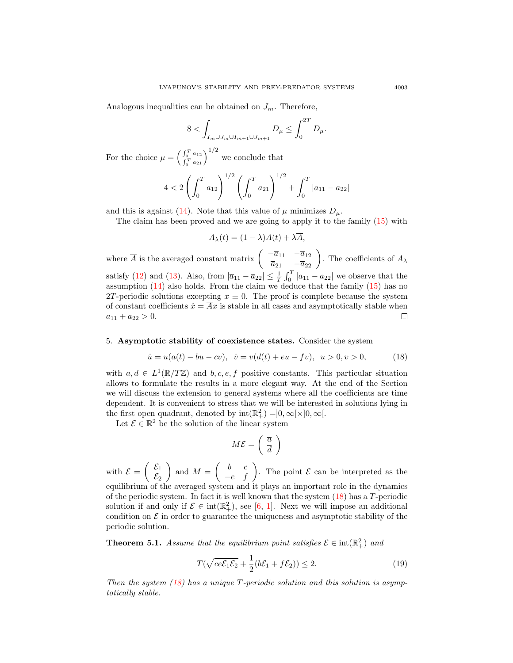Analogous inequalities can be obtained on  $J_m$ . Therefore,

$$
8 < \int_{I_m \cup J_m \cup I_{m+1} \cup J_{m+1}} D_{\mu} \le \int_0^{2T} D_{\mu}.
$$

For the choice  $\mu = \left(\frac{\int_0^T a_{12}}{cT}\right)$  $\frac{\int_0^T a_{12}}{\int_0^T a_{21}}\right)^{1/2}$  we conclude that

$$
4 < 2\left(\int_0^T a_{12}\right)^{1/2} \left(\int_0^T a_{21}\right)^{1/2} + \int_0^T |a_{11} - a_{22}|
$$

and this is against [\(14\)](#page-6-4). Note that this value of  $\mu$  minimizes  $D_{\mu}$ .

The claim has been proved and we are going to apply it to the family [\(15\)](#page-6-3) with

$$
A_{\lambda}(t) = (1 - \lambda)A(t) + \lambda \overline{A},
$$

where  $\overline{A}$  is the averaged constant matrix  $\begin{pmatrix} -\overline{a}_{11} & -\overline{a}_{12} \\ \overline{a}_{21} & -\overline{a}_{22} \end{pmatrix}$ . The coefficients of  $A_{\lambda}$ satisfy [\(12\)](#page-6-1) and [\(13\)](#page-6-2). Also, from  $|\bar{a}_{11} - \bar{a}_{22}| \leq \frac{1}{T} \int_0^T |a_{11} - a_{22}|$  we observe that the assumption  $(14)$  also holds. From the claim we deduce that the family  $(15)$  has no 2T-periodic solutions excepting  $x \equiv 0$ . The proof is complete because the system of constant coefficients  $\dot{x} = \overline{A}x$  is stable in all cases and asymptotically stable when  $\overline{a}_{11} + \overline{a}_{22} > 0.$  $\Box$ 

## <span id="page-8-3"></span>5. Asymptotic stability of coexistence states. Consider the system

<span id="page-8-0"></span>
$$
\dot{u} = u(a(t) - bu - cv), \quad \dot{v} = v(d(t) + eu - fv), \quad u > 0, v > 0,
$$
\n(18)

with  $a, d \in L^1(\mathbb{R}/T\mathbb{Z})$  and  $b, c, e, f$  positive constants. This particular situation allows to formulate the results in a more elegant way. At the end of the Section we will discuss the extension to general systems where all the coefficients are time dependent. It is convenient to stress that we will be interested in solutions lying in the first open quadrant, denoted by  $\text{int}(\mathbb{R}^2_+) = ]0, \infty[\times]0, \infty[$ .

Let  $\mathcal{E} \in \mathbb{R}^2$  be the solution of the linear system

$$
M\mathcal{E} = \left(\begin{array}{c} \overline{a} \\ \overline{d} \end{array}\right)
$$

with  $\mathcal{E} = \begin{pmatrix} \mathcal{E}_1 \\ \mathcal{E} \end{pmatrix}$  $\mathcal{E}_2$ and  $M = \begin{pmatrix} b & c \\ -e & f \end{pmatrix}$ . The point  $\mathcal E$  can be interpreted as the equilibrium of the averaged system and it plays an important role in the dynamics of the periodic system. In fact it is well known that the system  $(18)$  has a T-periodic solution if and only if  $\mathcal{E} \in \text{int}(\mathbb{R}^2_+)$ , see [\[6,](#page-12-7) [1\]](#page-12-8). Next we will impose an additional condition on  $\mathcal E$  in order to guarantee the uniqueness and asymptotic stability of the periodic solution.

<span id="page-8-2"></span>**Theorem 5.1.** Assume that the equilibrium point satisfies  $\mathcal{E} \in \text{int}(\mathbb{R}^2_+)$  and

<span id="page-8-1"></span>
$$
T(\sqrt{ce\mathcal{E}_1\mathcal{E}_2} + \frac{1}{2}(b\mathcal{E}_1 + f\mathcal{E}_2)) \le 2.
$$
 (19)

Then the system  $(18)$  has a unique T-periodic solution and this solution is asymptotically stable.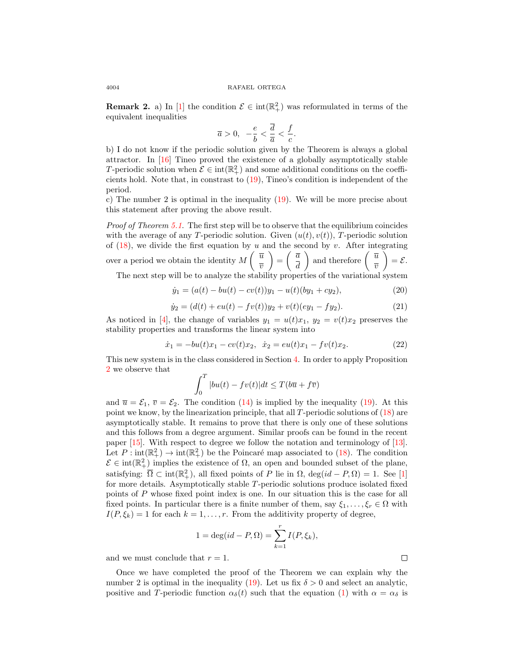**Remark 2.** a) In [\[1\]](#page-12-8) the condition  $\mathcal{E} \in \text{int}(\mathbb{R}^2_+)$  was reformulated in terms of the equivalent inequalities

$$
\overline{a}>0,\ \ -\frac{e}{b}<\frac{\overline{d}}{\overline{a}}<\frac{f}{c}.
$$

b) I do not know if the periodic solution given by the Theorem is always a global attractor. In [\[16\]](#page-13-6) Tineo proved the existence of a globally asymptotically stable T-periodic solution when  $\mathcal{E} \in \text{int}(\mathbb{R}^2_+)$  and some additional conditions on the coefficients hold. Note that, in constrast to [\(19\)](#page-8-1), Tineo's condition is independent of the period.

c) The number 2 is optimal in the inequality [\(19\)](#page-8-1). We will be more precise about this statement after proving the above result.

Proof of Theorem [5.1](#page-8-2). The first step will be to observe that the equilibrium coincides with the average of any T-periodic solution. Given  $(u(t), v(t))$ , T-periodic solution of  $(18)$ , we divide the first equation by u and the second by v. After integrating over a period we obtain the identity  $M\left(\begin{array}{c}\overline{u}\end{array}\right)$  $\overline{v}$  $=\begin{pmatrix} \overline{a} \\ \overline{d} \end{pmatrix}$ d ) and therefore  $\begin{pmatrix} \overline{u} \\ \overline{v} \end{pmatrix}$  $\overline{v}$  $=$   $\varepsilon$ . The next step will be to analyze the stability properties of the variational system

<span id="page-9-1"></span>
$$
\dot{y}_1 = (a(t) - bu(t) - cv(t))y_1 - u(t)(by_1 + cy_2),\tag{20}
$$

<span id="page-9-2"></span>
$$
\dot{y}_2 = (d(t) + eu(t) - fv(t))y_2 + v(t)(ey_1 - fy_2). \tag{21}
$$

As noticed in [\[4\]](#page-12-3), the change of variables  $y_1 = u(t)x_1, y_2 = v(t)x_2$  preserves the stability properties and transforms the linear system into

<span id="page-9-0"></span>
$$
\dot{x}_1 = -bu(t)x_1 - cv(t)x_2, \quad \dot{x}_2 = eu(t)x_1 - fv(t)x_2.
$$
\n(22)

This new system is in the class considered in Section [4.](#page-6-6) In order to apply Proposition [2](#page-6-0) we observe that

$$
\int_0^T |bu(t) - fv(t)| dt \le T(b\overline{u} + f\overline{v})
$$

and  $\overline{u} = \mathcal{E}_1$ ,  $\overline{v} = \mathcal{E}_2$ . The condition [\(14\)](#page-6-4) is implied by the inequality [\(19\)](#page-8-1). At this point we know, by the linearization principle, that all  $T$ -periodic solutions of  $(18)$  are asymptotically stable. It remains to prove that there is only one of these solutions and this follows from a degree argument. Similar proofs can be found in the recent paper [\[15\]](#page-13-7). With respect to degree we follow the notation and terminology of [\[13\]](#page-13-8). Let  $P: \text{int}(\mathbb{R}^2_+) \to \text{int}(\mathbb{R}^2_+)$  be the Poincaré map associated to [\(18\)](#page-8-0). The condition  $\mathcal{E} \in \text{int}(\mathbb{R}^2_+)$  implies the existence of  $\Omega$ , an open and bounded subset of the plane, satisfying:  $\overline{\Omega} \subset \text{int}(\mathbb{R}^2_+)$ , all fixed points of P lie in  $\Omega$ ,  $\text{deg}(id - P, \Omega) = 1$ . See [\[1\]](#page-12-8) for more details. Asymptotically stable T-periodic solutions produce isolated fixed points of P whose fixed point index is one. In our situation this is the case for all fixed points. In particular there is a finite number of them, say  $\xi_1, \ldots, \xi_r \in \Omega$  with  $I(P, \xi_k) = 1$  for each  $k = 1, ..., r$ . From the additivity property of degree,

$$
1 = \deg(id - P, \Omega) = \sum_{k=1}^{r} I(P, \xi_k),
$$

and we must conclude that  $r = 1$ .

Once we have completed the proof of the Theorem we can explain why the number 2 is optimal in the inequality [\(19\)](#page-8-1). Let us fix  $\delta > 0$  and select an analytic, positive and T-periodic function  $\alpha_{\delta}(t)$  such that the equation [\(1\)](#page-0-1) with  $\alpha = \alpha_{\delta}$  is

 $\Box$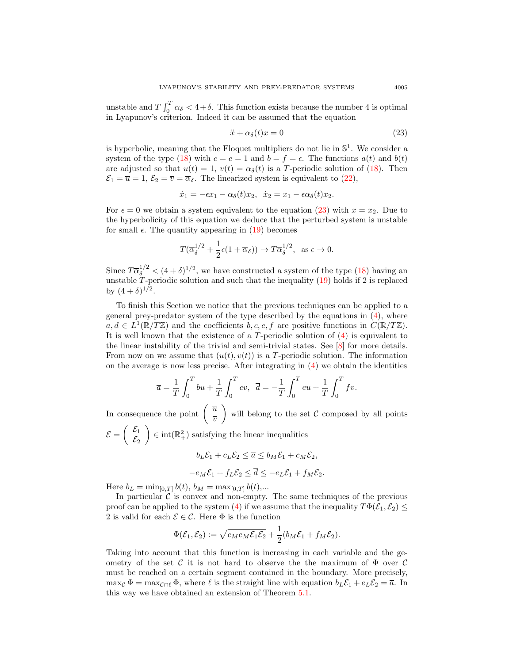unstable and  $T \int_0^T \alpha_{\delta} < 4 + \delta$ . This function exists because the number 4 is optimal in Lyapunov's criterion. Indeed it can be assumed that the equation

<span id="page-10-0"></span>
$$
\ddot{x} + \alpha_{\delta}(t)x = 0 \tag{23}
$$

is hyperbolic, meaning that the Floquet multipliers do not lie in  $\mathbb{S}^1$ . We consider a system of the type [\(18\)](#page-8-0) with  $c = e = 1$  and  $b = f = e$ . The functions  $a(t)$  and  $b(t)$ are adjusted so that  $u(t) = 1$ ,  $v(t) = \alpha_{\delta}(t)$  is a T-periodic solution of [\(18\)](#page-8-0). Then  $\mathcal{E}_1 = \overline{u} = 1, \, \mathcal{E}_2 = \overline{v} = \overline{\alpha}_{\delta}$ . The linearized system is equivalent to [\(22\)](#page-9-0),

$$
\dot{x}_1 = -\epsilon x_1 - \alpha_\delta(t)x_2, \quad \dot{x}_2 = x_1 - \epsilon \alpha_\delta(t)x_2.
$$

For  $\epsilon = 0$  we obtain a system equivalent to the equation [\(23\)](#page-10-0) with  $x = x_2$ . Due to the hyperbolicity of this equation we deduce that the perturbed system is unstable for small  $\epsilon$ . The quantity appearing in [\(19\)](#page-8-1) becomes

$$
T(\overline{\alpha}_{\delta}^{1/2} + \frac{1}{2}\epsilon(1+\overline{\alpha}_{\delta})) \to T\overline{\alpha}_{\delta}^{1/2}, \text{ as } \epsilon \to 0.
$$

Since  $T\overline{\alpha}_{\delta}^{1/2} < (4+\delta)^{1/2}$ , we have constructed a system of the type [\(18\)](#page-8-0) having an unstable  $T$ -periodic solution and such that the inequality  $(19)$  holds if 2 is replaced by  $(4+\delta)^{1/2}$ .

To finish this Section we notice that the previous techniques can be applied to a general prey-predator system of the type described by the equations in  $(4)$ , where  $a, d \in L^1(\mathbb{R}/T\mathbb{Z})$  and the coefficients  $b, c, e, f$  are positive functions in  $C(\mathbb{R}/T\mathbb{Z})$ . It is well known that the existence of a  $T$ -periodic solution of  $(4)$  is equivalent to the linear instability of the trivial and semi-trivial states. See [\[8\]](#page-12-4) for more details. From now on we assume that  $(u(t), v(t))$  is a T-periodic solution. The information on the average is now less precise. After integrating in  $(4)$  we obtain the identities

$$
\overline{a} = \frac{1}{T} \int_0^T bu + \frac{1}{T} \int_0^T cv, \ \overline{d} = -\frac{1}{T} \int_0^T eu + \frac{1}{T} \int_0^T fv.
$$

In consequence the point  $\left(\begin{array}{c} \overline{u} \\ \overline{v} \end{array}\right)$  $\overline{v}$ will belong to the set  $\mathcal C$  composed by all points  $\mathcal{E} = \begin{pmatrix} \mathcal{E}_1 \\ \mathcal{E} \end{pmatrix}$  $\mathcal{E}_2$  $\Big) \in \text{int}(\mathbb{R}^2_+)$  satisfying the linear inequalities

$$
b_L \mathcal{E}_1 + c_L \mathcal{E}_2 \le \overline{a} \le b_M \mathcal{E}_1 + c_M \mathcal{E}_2,
$$
  

$$
-e_M \mathcal{E}_1 + f_L \mathcal{E}_2 \le \overline{d} \le -e_L \mathcal{E}_1 + f_M \mathcal{E}_2.
$$

Here  $b_L = \min_{[0,T]} b(t)$ ,  $b_M = \max_{[0,T]} b(t)$ ,...

In particular  $\mathcal{C}$  is convex and non-empty. The same techniques of the previous proof can be applied to the system [\(4\)](#page-0-0) if we assume that the inequality  $T\Phi(\mathcal{E}_1, \mathcal{E}_2) \leq$ 2 is valid for each  $\mathcal{E} \in \mathcal{C}$ . Here  $\Phi$  is the function

$$
\Phi(\mathcal{E}_1,\mathcal{E}_2):=\sqrt{c_Me_M\mathcal{E}_1\mathcal{E}_2}+\frac{1}{2}(b_M\mathcal{E}_1+f_M\mathcal{E}_2).
$$

Taking into account that this function is increasing in each variable and the geometry of the set C it is not hard to observe the the maximum of  $\Phi$  over C must be reached on a certain segment contained in the boundary. More precisely, max<sub>C</sub>  $\Phi = \max_{\mathcal{C} \cap \ell} \Phi$ , where  $\ell$  is the straight line with equation  $b_L \mathcal{E}_1 + e_L \mathcal{E}_2 = \overline{a}$ . In this way we have obtained an extension of Theorem [5.1.](#page-8-2)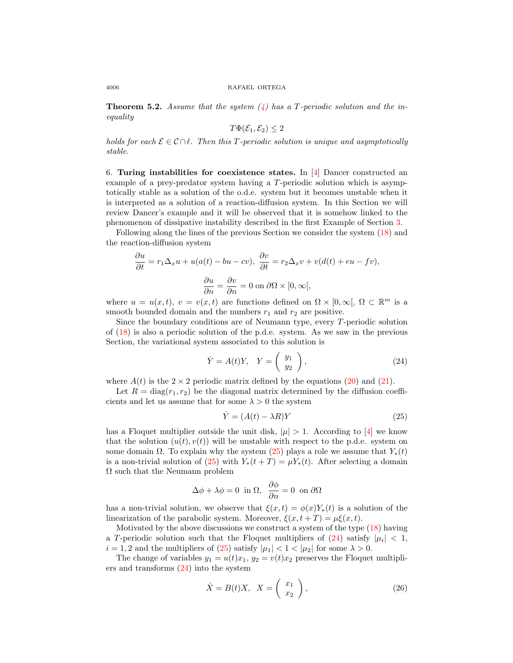**Theorem 5.2.** Assume that the system  $\left(4\right)$  has a T-periodic solution and the inequality

$$
T\Phi(\mathcal{E}_1,\mathcal{E}_2)\leq 2
$$

holds for each  $\mathcal{E} \in \mathcal{C} \cap \ell$ . Then this T-periodic solution is unique and asymptotically stable.

6. Turing instabilities for coexistence states. In  $[4]$  Dancer constructed an example of a prey-predator system having a T-periodic solution which is asymptotically stable as a solution of the o.d.e. system but it becomes unstable when it is interpreted as a solution of a reaction-diffusion system. In this Section we will review Dancer's example and it will be observed that it is somehow linked to the phenomenon of dissipative instability described in the first Example of Section [3.](#page-3-2)

Following along the lines of the previous Section we consider the system [\(18\)](#page-8-0) and the reaction-diffusion system

$$
\frac{\partial u}{\partial t} = r_1 \Delta_x u + u(a(t) - bu - cv), \quad \frac{\partial v}{\partial t} = r_2 \Delta_x v + v(d(t) + eu - fv),
$$

$$
\frac{\partial u}{\partial n} = \frac{\partial v}{\partial n} = 0 \text{ on } \partial \Omega \times [0, \infty[,
$$

where  $u = u(x, t)$ ,  $v = v(x, t)$  are functions defined on  $\Omega \times [0, \infty)$ ,  $\Omega \subset \mathbb{R}^m$  is a smooth bounded domain and the numbers  $r_1$  and  $r_2$  are positive.

Since the boundary conditions are of Neumann type, every T-periodic solution of [\(18\)](#page-8-0) is also a periodic solution of the p.d.e. system. As we saw in the previous Section, the variational system associated to this solution is

<span id="page-11-1"></span>
$$
\dot{Y} = A(t)Y, \quad Y = \left(\begin{array}{c} y_1 \\ y_2 \end{array}\right), \tag{24}
$$

where  $A(t)$  is the  $2 \times 2$  periodic matrix defined by the equations [\(20\)](#page-9-1) and [\(21\)](#page-9-2).

Let  $R = \text{diag}(r_1, r_2)$  be the diagonal matrix determined by the diffusion coefficients and let us assume that for some  $\lambda > 0$  the system

<span id="page-11-0"></span>
$$
\dot{Y} = (A(t) - \lambda R)Y\tag{25}
$$

has a Floquet multiplier outside the unit disk,  $|\mu| > 1$ . According to [\[4\]](#page-12-3) we know that the solution  $(u(t), v(t))$  will be unstable with respect to the p.d.e. system on some domain  $\Omega$ . To explain why the system [\(25\)](#page-11-0) plays a role we assume that  $Y_*(t)$ is a non-trivial solution of [\(25\)](#page-11-0) with  $Y_*(t+T) = \mu Y_*(t)$ . After selecting a domain  $\Omega$  such that the Neumann problem

$$
\Delta \phi + \lambda \phi = 0 \text{ in } \Omega, \ \frac{\partial \phi}{\partial n} = 0 \text{ on } \partial \Omega
$$

has a non-trivial solution, we observe that  $\xi(x,t) = \phi(x)Y_*(t)$  is a solution of the linearization of the parabolic system. Moreover,  $\xi(x, t + T) = \mu \xi(x, t)$ .

Motivated by the above discussions we construct a system of the type  $(18)$  having a T-periodic solution such that the Floquet multipliers of  $(24)$  satisfy  $|\mu_i| < 1$ ,  $i = 1, 2$  and the multipliers of [\(25\)](#page-11-0) satisfy  $|\mu_1| < 1 < |\mu_2|$  for some  $\lambda > 0$ .

The change of variables  $y_1 = u(t)x_1$ ,  $y_2 = v(t)x_2$  preserves the Floquet multipliers and transforms [\(24\)](#page-11-1) into the system

<span id="page-11-2"></span>
$$
\dot{X} = B(t)X, \quad X = \left(\begin{array}{c} x_1 \\ x_2 \end{array}\right),\tag{26}
$$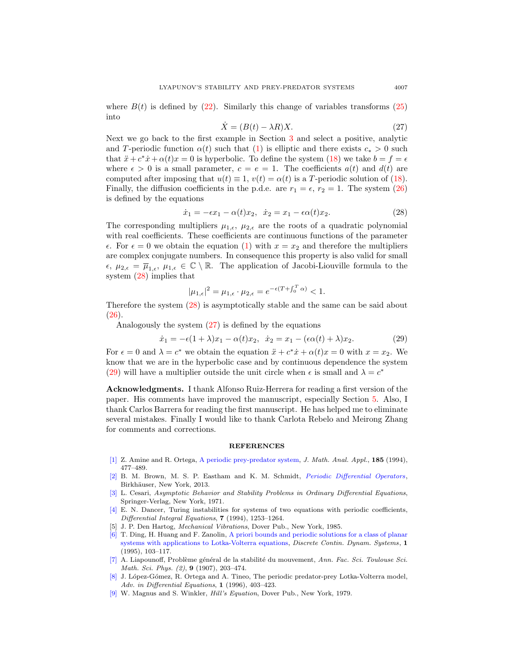where  $B(t)$  is defined by [\(22\)](#page-9-0). Similarly this change of variables transforms [\(25\)](#page-11-0) into

<span id="page-12-10"></span>
$$
\dot{X} = (B(t) - \lambda R)X.
$$
\n(27)

Next we go back to the first example in Section [3](#page-3-2) and select a positive, analytic and T-periodic function  $\alpha(t)$  such that [\(1\)](#page-0-1) is elliptic and there exists  $c_* > 0$  such that  $\ddot{x} + c^* \dot{x} + \alpha(t)x = 0$  is hyperbolic. To define the system [\(18\)](#page-8-0) we take  $b = f = \epsilon$ where  $\epsilon > 0$  is a small parameter,  $c = e = 1$ . The coefficients  $a(t)$  and  $d(t)$  are computed after imposing that  $u(t) \equiv 1$ ,  $v(t) = \alpha(t)$  is a T-periodic solution of [\(18\)](#page-8-0). Finally, the diffusion coefficients in the p.d.e. are  $r_1 = \epsilon$ ,  $r_2 = 1$ . The system [\(26\)](#page-11-2) is defined by the equations

<span id="page-12-9"></span>
$$
\dot{x}_1 = -\epsilon x_1 - \alpha(t)x_2, \quad \dot{x}_2 = x_1 - \epsilon \alpha(t)x_2.
$$
\n
$$
(28)
$$

The corresponding multipliers  $\mu_{1,\epsilon}$ ,  $\mu_{2,\epsilon}$  are the roots of a quadratic polynomial with real coefficients. These coefficients are continuous functions of the parameter  $\epsilon$ . For  $\epsilon = 0$  we obtain the equation [\(1\)](#page-0-1) with  $x = x_2$  and therefore the multipliers are complex conjugate numbers. In consequence this property is also valid for small  $\epsilon, \mu_{2,\epsilon} = \overline{\mu}_{1,\epsilon}, \mu_{1,\epsilon} \in \mathbb{C} \setminus \mathbb{R}$ . The application of Jacobi-Liouville formula to the system [\(28\)](#page-12-9) implies that

$$
|\mu_{1,\epsilon}|^2 = \mu_{1,\epsilon} \cdot \mu_{2,\epsilon} = e^{-\epsilon(T + \int_0^T \alpha)} < 1.
$$

Therefore the system [\(28\)](#page-12-9) is asymptotically stable and the same can be said about [\(26\)](#page-11-2).

Analogously the system [\(27\)](#page-12-10) is defined by the equations

<span id="page-12-11"></span>
$$
\dot{x}_1 = -\epsilon (1 + \lambda)x_1 - \alpha(t)x_2, \ \dot{x}_2 = x_1 - (\epsilon \alpha(t) + \lambda)x_2.
$$
 (29)

For  $\epsilon = 0$  and  $\lambda = c^*$  we obtain the equation  $\ddot{x} + c^* \dot{x} + \alpha(t)x = 0$  with  $x = x_2$ . We know that we are in the hyperbolic case and by continuous dependence the system [\(29\)](#page-12-11) will have a multiplier outside the unit circle when  $\epsilon$  is small and  $\lambda = c^*$ 

Acknowledgments. I thank Alfonso Ruiz-Herrera for reading a first version of the paper. His comments have improved the manuscript, especially Section [5.](#page-8-3) Also, I thank Carlos Barrera for reading the first manuscript. He has helped me to eliminate several mistakes. Finally I would like to thank Carlota Rebelo and Meirong Zhang for comments and corrections.

#### **REFERENCES**

- <span id="page-12-8"></span>[\[1\]](http://www.ams.org/mathscinet-getitem?mr=MR1283071&return=pdf) Z. Amine and R. Ortega, [A periodic prey-predator system,](http://dx.doi.org/10.1006/jmaa.1994.1262) J. Math. Anal. Appl., 185 (1994), 477–489.
- <span id="page-12-6"></span>[\[2\]](http://www.ams.org/mathscinet-getitem?mr=MR2978285&return=pdf) B. M. Brown, M. S. P. Eastham and K. M. Schmidt, [Periodic Differential Operators](http://dx.doi.org/10.1007/978-3-0348-0528-5), Birkhäuser, New York, 2013.
- <span id="page-12-2"></span>[\[3\]](http://www.ams.org/mathscinet-getitem?mr=MR0350089&return=pdf) L. Cesari, Asymptotic Behavior and Stability Problems in Ordinary Differential Equations, Springer-Verlag, New York, 1971.
- <span id="page-12-3"></span>[\[4\]](http://www.ams.org/mathscinet-getitem?mr=MR1269655&return=pdf) E. N. Dancer, Turing instabilities for systems of two equations with periodic coefficients, Differential Integral Equations, 7 (1994), 1253–1264.
- <span id="page-12-5"></span>[5] J. P. Den Hartog, Mechanical Vibrations, Dover Pub., New York, 1985.
- <span id="page-12-7"></span>[\[6\]](http://www.ams.org/mathscinet-getitem?mr=MR1355867&return=pdf) T. Ding, H. Huang and F. Zanolin, [A priori bounds and periodic solutions for a class of planar](http://dx.doi.org/10.3934/dcds.1995.1.103) [systems with applications to Lotka-Volterra equations,](http://dx.doi.org/10.3934/dcds.1995.1.103) Discrete Contin. Dynam. Systems, 1 (1995), 103–117.
- <span id="page-12-0"></span> $[7]$  A. Liapounoff, Problème général de la stabilité du mouvement, Ann. Fac. Sci. Toulouse Sci. Math. Sci. Phys. (2), 9 (1907), 203–474.
- <span id="page-12-4"></span>[\[8\]](http://www.ams.org/mathscinet-getitem?mr=MR1401400&return=pdf) J. López-Gómez, R. Ortega and A. Tineo, The periodic predator-prey Lotka-Volterra model, Adv. in Differential Equations, 1 (1996), 403–423.
- <span id="page-12-1"></span>[\[9\]](http://www.ams.org/mathscinet-getitem?mr=MR559928&return=pdf) W. Magnus and S. Winkler, Hill's Equation, Dover Pub., New York, 1979.